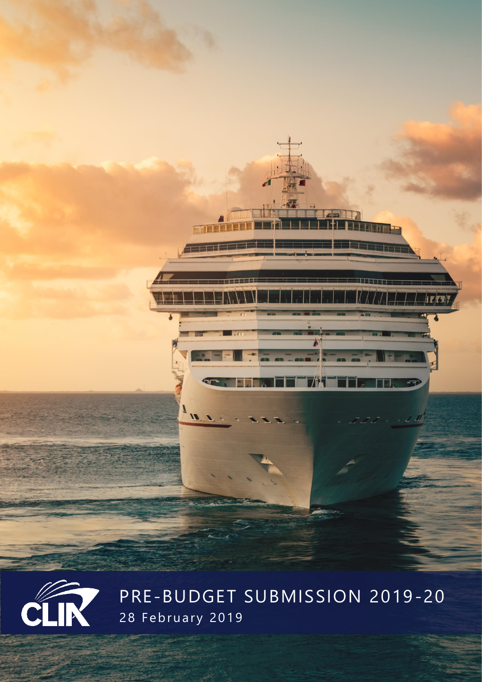



PRE-BUDGET SUBMISSION 2019-20 28 February 2019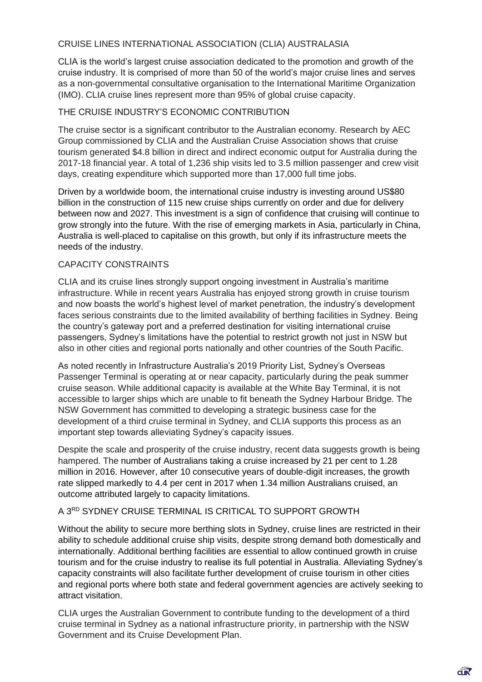# CRUISE LINES INTERNATIONAL ASSOCIATION (CLIA) AUSTRALASIA

CLIA is the world's largest cruise association dedicated to the promotion and growth of the cruise industry. It is comprised of more than 50 of the world's major cruise lines and serves as a non-governmental consultative organisation to the International Maritime Organization (IMO). CLIA cruise lines represent more than 95% of global cruise capacity.

## THE CRUISE INDUSTRY'S ECONOMIC CONTRIBUTION

The cruise sector is a significant contributor to the Australian economy. Research by AEC Group commissioned by CLIA and the Australian Cruise Association shows that cruise tourism generated \$4.8 billion in direct and indirect economic output for Australia during the 2017-18 financial year. A total of 1,236 ship visits led to 3.5 million passenger and crew visit days, creating expenditure which supported more than 17,000 full time jobs.

Driven by a worldwide boom, the international cruise industry is investing around US\$80 billion in the construction of 115 new cruise ships currently on order and due for delivery between now and 2027. This investment is a sign of confidence that cruising will continue to grow strongly into the future. With the rise of emerging markets in Asia, particularly in China, Australia is well-placed to capitalise on this growth, but only if its infrastructure meets the needs of the industry.

## CAPACITY CONSTRAINTS

CLIA and its cruise lines strongly support ongoing investment in Australia's maritime infrastructure. While in recent years Australia has enjoyed strong growth in cruise tourism and now boasts the world's highest level of market penetration, the industry's development faces serious constraints due to the limited availability of berthing facilities in Sydney. Being the country's gateway port and a preferred destination for visiting international cruise passengers, Sydney's limitations have the potential to restrict growth not just in NSW but also in other cities and regional ports nationally and other countries of the South Pacific.

As noted recently in Infrastructure Australia's 2019 Priority List, Sydney's Overseas Passenger Terminal is operating at or near capacity, particularly during the peak summer cruise season. While additional capacity is available at the White Bay Terminal, it is not accessible to larger ships which are unable to fit beneath the Sydney Harbour Bridge. The NSW Government has committed to developing a strategic business case for the development of a third cruise terminal in Sydney, and CLIA supports this process as an important step towards alleviating Sydney's capacity issues.

Despite the scale and prosperity of the cruise industry, recent data suggests growth is being hampered. The number of Australians taking a cruise increased by 21 per cent to 1.28 million in 2016. However, after 10 consecutive years of double-digit increases, the growth rate slipped markedly to 4.4 per cent in 2017 when 1.34 million Australians cruised, an outcome attributed largely to capacity limitations.

#### A 3RD SYDNEY CRUISE TERMINAL IS CRITICAL TO SUPPORT GROWTH

Without the ability to secure more berthing slots in Sydney, cruise lines are restricted in their ability to schedule additional cruise ship visits, despite strong demand both domestically and internationally. Additional berthing facilities are essential to allow continued growth in cruise tourism and for the cruise industry to realise its full potential in Australia. Alleviating Sydney's capacity constraints will also facilitate further development of cruise tourism in other cities and regional ports where both state and federal government agencies are actively seeking to attract visitation.

CLIA urges the Australian Government to contribute funding to the development of a third cruise terminal in Sydney as a national infrastructure priority, in partnership with the NSW Government and its Cruise Development Plan.